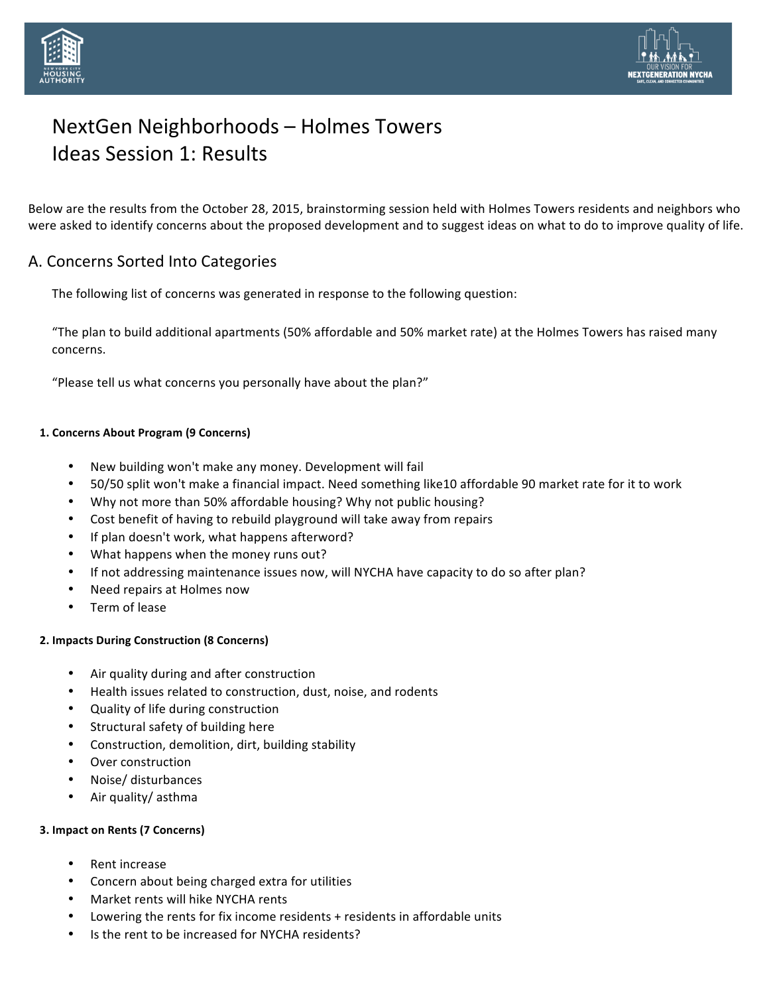



Below are the results from the October 28, 2015, brainstorming session held with Holmes Towers residents and neighbors who were asked to identify concerns about the proposed development and to suggest ideas on what to do to improve quality of life.

## A. Concerns Sorted Into Categories

The following list of concerns was generated in response to the following question:

"The plan to build additional apartments (50% affordable and 50% market rate) at the Holmes Towers has raised many concerns. 

"Please tell us what concerns you personally have about the plan?"

### **1. Concerns About Program (9 Concerns)**

- New building won't make any money. Development will fail
- 50/50 split won't make a financial impact. Need something like10 affordable 90 market rate for it to work
- Why not more than 50% affordable housing? Why not public housing?
- Cost benefit of having to rebuild playground will take away from repairs
- If plan doesn't work, what happens afterword?
- What happens when the money runs out?
- If not addressing maintenance issues now, will NYCHA have capacity to do so after plan?
- Need repairs at Holmes now
- Term of lease

#### **2. Impacts During Construction (8 Concerns)**

- Air quality during and after construction
- Health issues related to construction, dust, noise, and rodents
- Quality of life during construction
- Structural safety of building here
- Construction, demolition, dirt, building stability
- Over construction
- Noise/ disturbances
- Air quality/ asthma

#### **3. Impact on Rents (7 Concerns)**

- Rent increase
- Concern about being charged extra for utilities
- Market rents will hike NYCHA rents
- Lowering the rents for fix income residents  $+$  residents in affordable units
- Is the rent to be increased for NYCHA residents?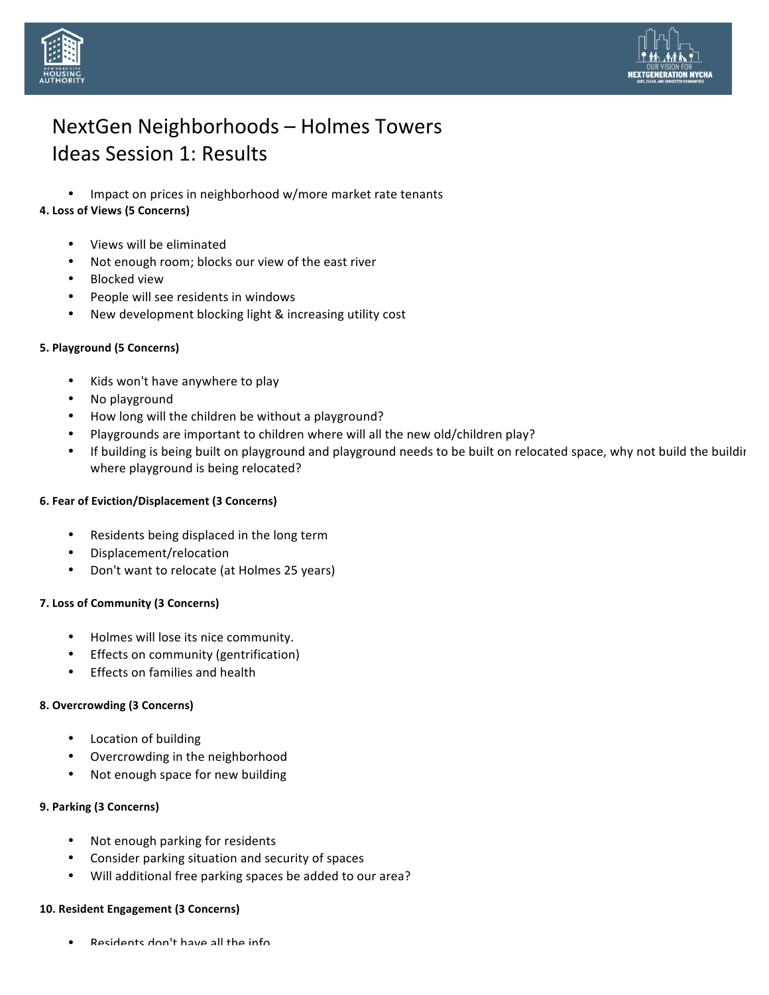



• Impact on prices in neighborhood w/more market rate tenants

## **4. Loss of Views (5 Concerns)**

- Views will be eliminated
- Not enough room; blocks our view of the east river
- **Blocked** view
- People will see residents in windows
- New development blocking light & increasing utility cost

### **5. Playground (5 Concerns)**

- Kids won't have anywhere to play
- No playground
- How long will the children be without a playground?
- Playgrounds are important to children where will all the new old/children play?
- If building is being built on playground and playground needs to be built on relocated space, why not build the buildir where playground is being relocated?

### **6. Fear of Eviction/Displacement (3 Concerns)**

- Residents being displaced in the long term
- Displacement/relocation
- Don't want to relocate (at Holmes 25 years)

### **7. Loss of Community (3 Concerns)**

- Holmes will lose its nice community.
- Effects on community (gentrification)
- Effects on families and health

### **8. Overcrowding (3 Concerns)**

- Location of building
- Overcrowding in the neighborhood
- Not enough space for new building

### **9. Parking (3 Concerns)**

- Not enough parking for residents
- Consider parking situation and security of spaces
- Will additional free parking spaces be added to our area?

#### **10. Resident Engagement (3 Concerns)**

Residents don't have all the info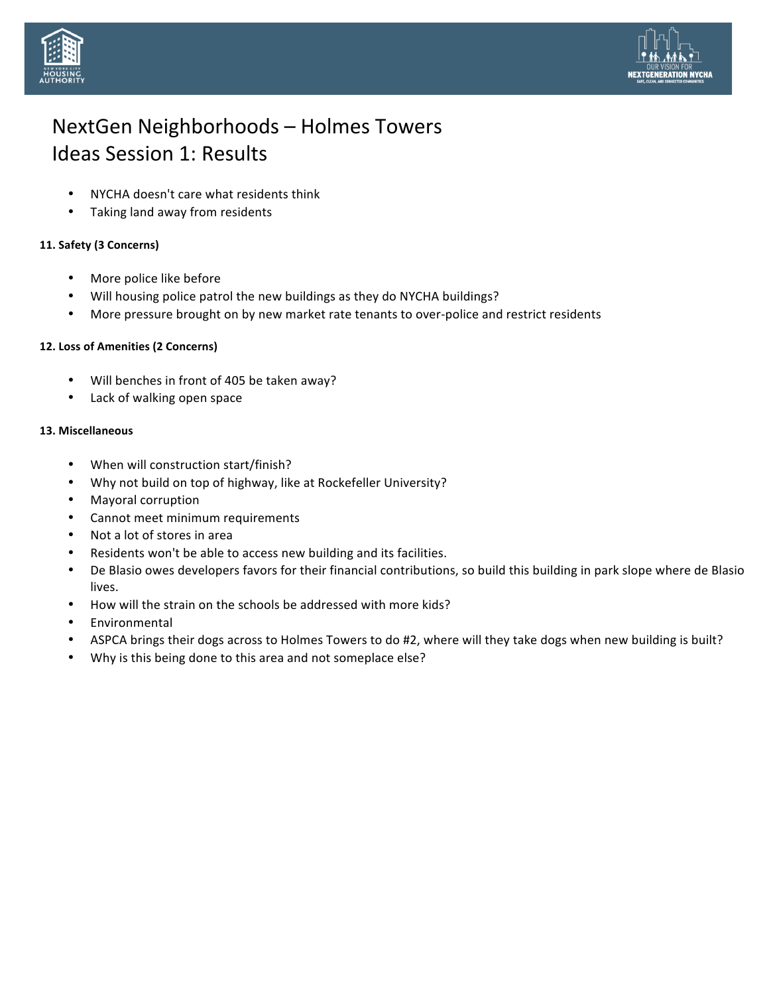



- NYCHA doesn't care what residents think
- Taking land away from residents

### **11. Safety (3 Concerns)**

- More police like before
- Will housing police patrol the new buildings as they do NYCHA buildings?
- More pressure brought on by new market rate tenants to over-police and restrict residents

### 12. Loss of Amenities (2 Concerns)

- Will benches in front of 405 be taken away?
- Lack of walking open space

### **13. Miscellaneous**

- When will construction start/finish?
- Why not build on top of highway, like at Rockefeller University?
- Mayoral corruption
- Cannot meet minimum requirements
- Not a lot of stores in area
- Residents won't be able to access new building and its facilities.
- De Blasio owes developers favors for their financial contributions, so build this building in park slope where de Blasio lives.
- How will the strain on the schools be addressed with more kids?
- **Environmental**
- ASPCA brings their dogs across to Holmes Towers to do #2, where will they take dogs when new building is built?
- Why is this being done to this area and not someplace else?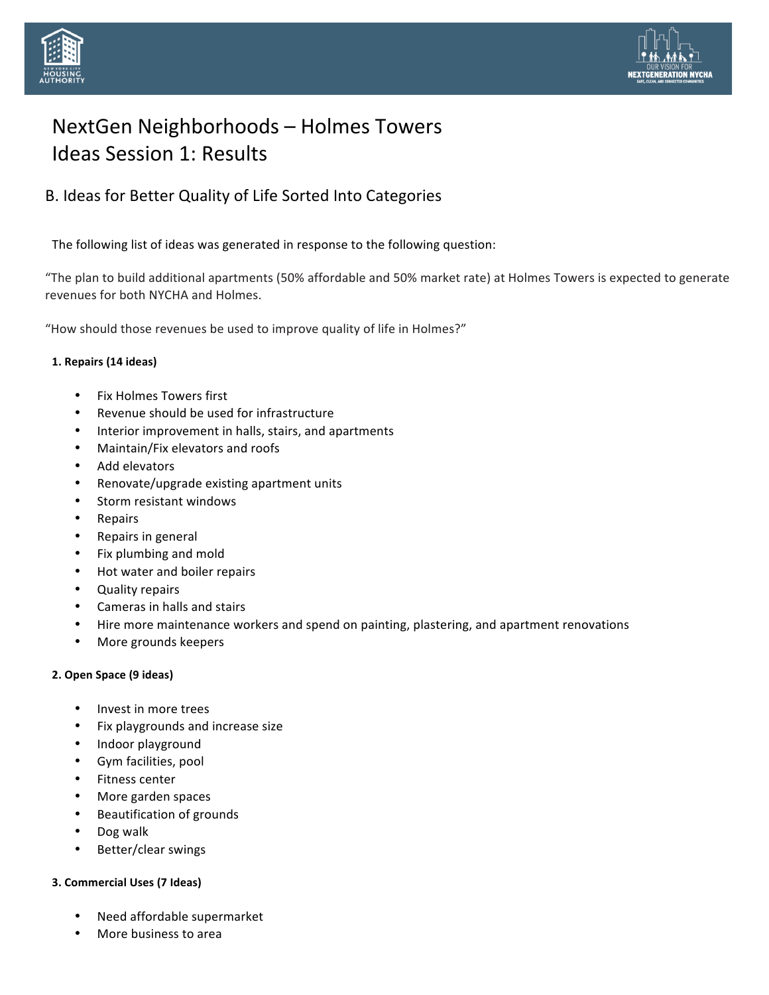



# B. Ideas for Better Quality of Life Sorted Into Categories

The following list of ideas was generated in response to the following question:

"The plan to build additional apartments (50% affordable and 50% market rate) at Holmes Towers is expected to generate revenues for both NYCHA and Holmes.

"How should those revenues be used to improve quality of life in Holmes?"

### **1. Repairs (14 ideas)**

- Fix Holmes Towers first
- Revenue should be used for infrastructure
- Interior improvement in halls, stairs, and apartments
- Maintain/Fix elevators and roofs
- Add elevators
- Renovate/upgrade existing apartment units
- Storm resistant windows
- Repairs
- Repairs in general
- Fix plumbing and mold
- Hot water and boiler repairs
- Quality repairs
- Cameras in halls and stairs
- Hire more maintenance workers and spend on painting, plastering, and apartment renovations
- More grounds keepers

#### **2. Open Space (9 ideas)**

- Invest in more trees
- Fix playgrounds and increase size
- Indoor playground
- Gym facilities, pool
- Fitness center
- More garden spaces
- Beautification of grounds
- Dog walk
- Better/clear swings

#### **3. Commercial Uses (7 Ideas)**

- Need affordable supermarket
- More business to area